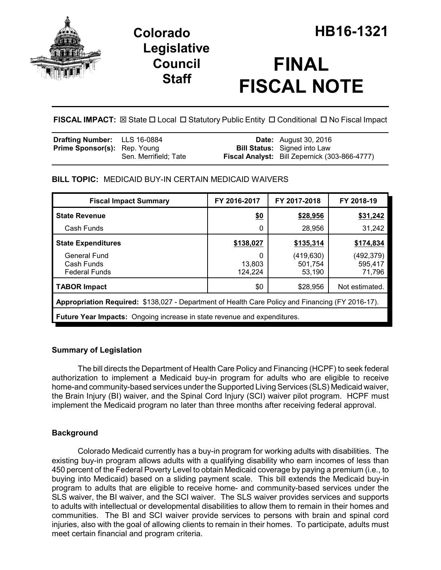

## **Legislative Council Staff**

# **FINAL FISCAL NOTE**

**FISCAL IMPACT:**  $\boxtimes$  State  $\Box$  Local  $\Box$  Statutory Public Entity  $\Box$  Conditional  $\Box$  No Fiscal Impact

| <b>Drafting Number:</b> LLS 16-0884 |                       | <b>Date:</b> August 30, 2016                  |
|-------------------------------------|-----------------------|-----------------------------------------------|
| <b>Prime Sponsor(s):</b> Rep. Young |                       | <b>Bill Status:</b> Signed into Law           |
|                                     | Sen. Merrifield: Tate | Fiscal Analyst: Bill Zepernick (303-866-4777) |

## **BILL TOPIC:** MEDICAID BUY-IN CERTAIN MEDICAID WAIVERS

| <b>Fiscal Impact Summary</b>                                                                     | FY 2016-2017           | FY 2017-2018                   | FY 2018-19                      |
|--------------------------------------------------------------------------------------------------|------------------------|--------------------------------|---------------------------------|
| <b>State Revenue</b>                                                                             | <u>\$0</u>             | \$28,956                       | \$31,242                        |
| Cash Funds                                                                                       | 0                      | 28,956                         | 31,242                          |
| <b>State Expenditures</b>                                                                        | \$138,027              | \$135,314                      | \$174,834                       |
| <b>General Fund</b><br>Cash Funds<br><b>Federal Funds</b>                                        | 0<br>13,803<br>124,224 | (419,630)<br>501,754<br>53,190 | (492, 379)<br>595,417<br>71,796 |
| <b>TABOR Impact</b>                                                                              | \$0                    | \$28,956                       | Not estimated.                  |
| Appropriation Required: \$138,027 - Department of Health Care Policy and Financing (FY 2016-17). |                        |                                |                                 |
| Future Year Impacts: Ongoing increase in state revenue and expenditures.                         |                        |                                |                                 |

### **Summary of Legislation**

The bill directs the Department of Health Care Policy and Financing (HCPF) to seek federal authorization to implement a Medicaid buy-in program for adults who are eligible to receive home-and community-based services under the Supported Living Services (SLS) Medicaid waiver, the Brain Injury (BI) waiver, and the Spinal Cord Injury (SCI) waiver pilot program. HCPF must implement the Medicaid program no later than three months after receiving federal approval.

## **Background**

Colorado Medicaid currently has a buy-in program for working adults with disabilities. The existing buy-in program allows adults with a qualifying disability who earn incomes of less than 450 percent of the Federal Poverty Level to obtain Medicaid coverage by paying a premium (i.e., to buying into Medicaid) based on a sliding payment scale. This bill extends the Medicaid buy-in program to adults that are eligible to receive home- and community-based services under the SLS waiver, the BI waiver, and the SCI waiver. The SLS waiver provides services and supports to adults with intellectual or developmental disabilities to allow them to remain in their homes and communities. The BI and SCI waiver provide services to persons with brain and spinal cord injuries, also with the goal of allowing clients to remain in their homes. To participate, adults must meet certain financial and program criteria.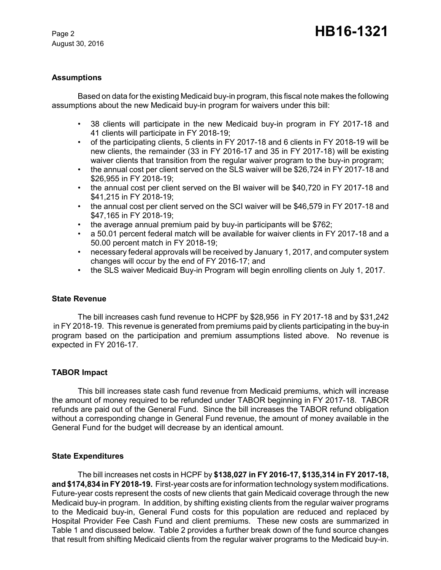August 30, 2016

#### **Assumptions**

Based on data for the existing Medicaid buy-in program, this fiscal note makes the following assumptions about the new Medicaid buy-in program for waivers under this bill:

- 38 clients will participate in the new Medicaid buy-in program in FY 2017-18 and 41 clients will participate in FY 2018-19;
- of the participating clients, 5 clients in FY 2017-18 and 6 clients in FY 2018-19 will be new clients, the remainder (33 in FY 2016-17 and 35 in FY 2017-18) will be existing waiver clients that transition from the regular waiver program to the buy-in program;
- the annual cost per client served on the SLS waiver will be \$26,724 in FY 2017-18 and \$26,955 in FY 2018-19;
- the annual cost per client served on the BI waiver will be \$40,720 in FY 2017-18 and \$41,215 in FY 2018-19;
- the annual cost per client served on the SCI waiver will be \$46,579 in FY 2017-18 and \$47,165 in FY 2018-19;
- the average annual premium paid by buy-in participants will be \$762;
- a 50.01 percent federal match will be available for waiver clients in FY 2017-18 and a 50.00 percent match in FY 2018-19;
- necessary federal approvals will be received by January 1, 2017, and computer system changes will occur by the end of FY 2016-17; and
- the SLS waiver Medicaid Buy-in Program will begin enrolling clients on July 1, 2017.

#### **State Revenue**

The bill increases cash fund revenue to HCPF by \$28,956 in FY 2017-18 and by \$31,242 in FY 2018-19. This revenue is generated from premiums paid by clients participating in the buy-in program based on the participation and premium assumptions listed above. No revenue is expected in FY 2016-17.

#### **TABOR Impact**

This bill increases state cash fund revenue from Medicaid premiums, which will increase the amount of money required to be refunded under TABOR beginning in FY 2017-18. TABOR refunds are paid out of the General Fund. Since the bill increases the TABOR refund obligation without a corresponding change in General Fund revenue, the amount of money available in the General Fund for the budget will decrease by an identical amount.

#### **State Expenditures**

The bill increases net costs in HCPF by **\$138,027 in FY 2016-17, \$135,314 in FY 2017-18, and \$174,834 in FY 2018-19.** First-year costs are for information technology system modifications. Future-year costs represent the costs of new clients that gain Medicaid coverage through the new Medicaid buy-in program. In addition, by shifting existing clients from the regular waiver programs to the Medicaid buy-in, General Fund costs for this population are reduced and replaced by Hospital Provider Fee Cash Fund and client premiums. These new costs are summarized in Table 1 and discussed below. Table 2 provides a further break down of the fund source changes that result from shifting Medicaid clients from the regular waiver programs to the Medicaid buy-in.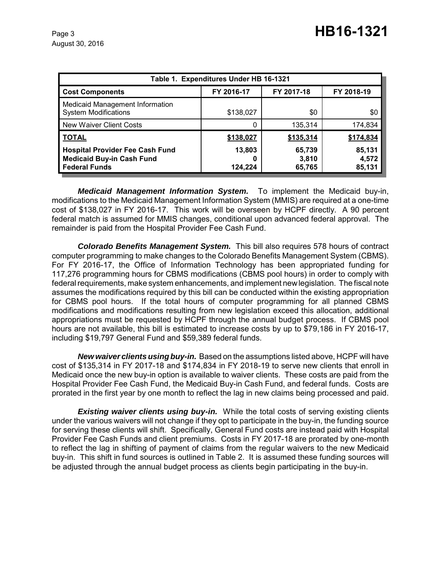| Table 1. Expenditures Under HB 16-1321                                                             |                   |                           |                           |
|----------------------------------------------------------------------------------------------------|-------------------|---------------------------|---------------------------|
| <b>Cost Components</b>                                                                             | FY 2016-17        | FY 2017-18                | FY 2018-19                |
| Medicaid Management Information<br><b>System Modifications</b>                                     | \$138,027         | \$0                       | \$0                       |
| New Waiver Client Costs                                                                            |                   | 135,314                   | 174,834                   |
| <b>TOTAL</b>                                                                                       | \$138,027         | \$135,314                 | \$174,834                 |
| <b>Hospital Provider Fee Cash Fund</b><br><b>Medicaid Buy-in Cash Fund</b><br><b>Federal Funds</b> | 13,803<br>124.224 | 65,739<br>3,810<br>65,765 | 85,131<br>4,572<br>85,131 |

*Medicaid Management Information System.* To implement the Medicaid buy-in, modifications to the Medicaid Management Information System (MMIS) are required at a one-time cost of \$138,027 in FY 2016-17. This work will be overseen by HCPF directly. A 90 percent federal match is assumed for MMIS changes, conditional upon advanced federal approval. The remainder is paid from the Hospital Provider Fee Cash Fund.

*Colorado Benefits Management System.* This bill also requires 578 hours of contract computer programming to make changes to the Colorado Benefits Management System (CBMS). For FY 2016-17, the Office of Information Technology has been appropriated funding for 117,276 programming hours for CBMS modifications (CBMS pool hours) in order to comply with federal requirements, make system enhancements, and implement new legislation. The fiscal note assumes the modifications required by this bill can be conducted within the existing appropriation for CBMS pool hours. If the total hours of computer programming for all planned CBMS modifications and modifications resulting from new legislation exceed this allocation, additional appropriations must be requested by HCPF through the annual budget process. If CBMS pool hours are not available, this bill is estimated to increase costs by up to \$79,186 in FY 2016-17, including \$19,797 General Fund and \$59,389 federal funds.

*New waiver clients using buy-in.* Based on the assumptions listed above, HCPF will have cost of \$135,314 in FY 2017-18 and \$174,834 in FY 2018-19 to serve new clients that enroll in Medicaid once the new buy-in option is available to waiver clients. These costs are paid from the Hospital Provider Fee Cash Fund, the Medicaid Buy-in Cash Fund, and federal funds. Costs are prorated in the first year by one month to reflect the lag in new claims being processed and paid.

**Existing waiver clients using buy-in.** While the total costs of serving existing clients under the various waivers will not change if they opt to participate in the buy-in, the funding source for serving these clients will shift. Specifically, General Fund costs are instead paid with Hospital Provider Fee Cash Funds and client premiums. Costs in FY 2017-18 are prorated by one-month to reflect the lag in shifting of payment of claims from the regular waivers to the new Medicaid buy-in. This shift in fund sources is outlined in Table 2. It is assumed these funding sources will be adjusted through the annual budget process as clients begin participating in the buy-in.